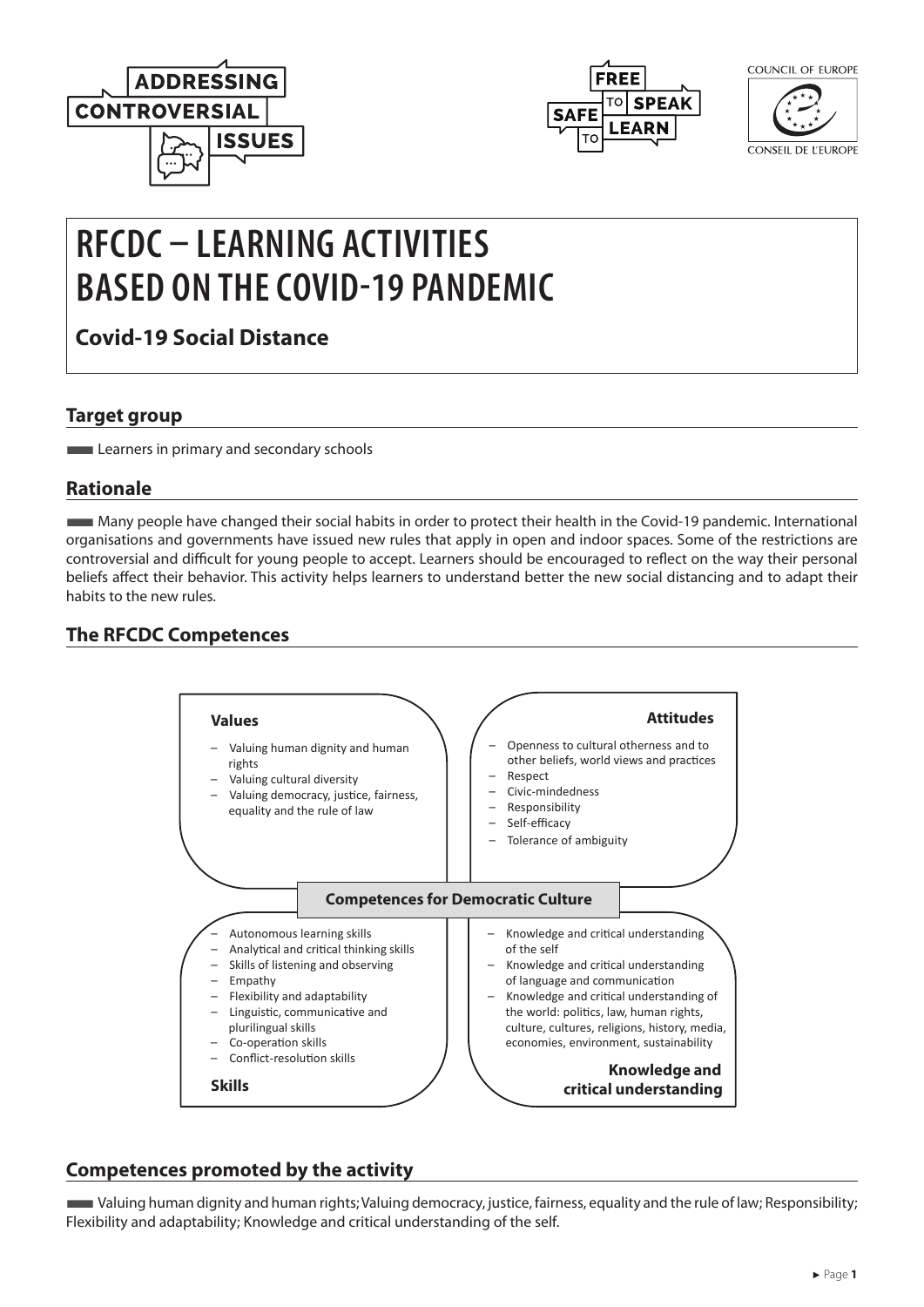



COUNCIL OF FUROPE

CONSEIL DE L'EUROPE

# **RFCDC – LEARNING ACTIVITIES BASED ON THE COVID-19 PANDEMIC**

**Covid-19 Social Distance**

#### **Target group**

**Learners in primary and secondary schools** 

### **Rationale**

■Many people have changed their social habits in order to protect their health in the Covid-19 pandemic. International organisations and governments have issued new rules that apply in open and indoor spaces. Some of the restrictions are controversial and difficult for young people to accept. Learners should be encouraged to reflect on the way their personal beliefs affect their behavior. This activity helps learners to understand better the new social distancing and to adapt their habits to the new rules.

## **The RFCDC Competences**



#### **Competences promoted by the activity**

■Valuing human dignity and human rights; Valuing democracy, justice, fairness, equality and the rule of law; Responsibility; Flexibility and adaptability; Knowledge and critical understanding of the self.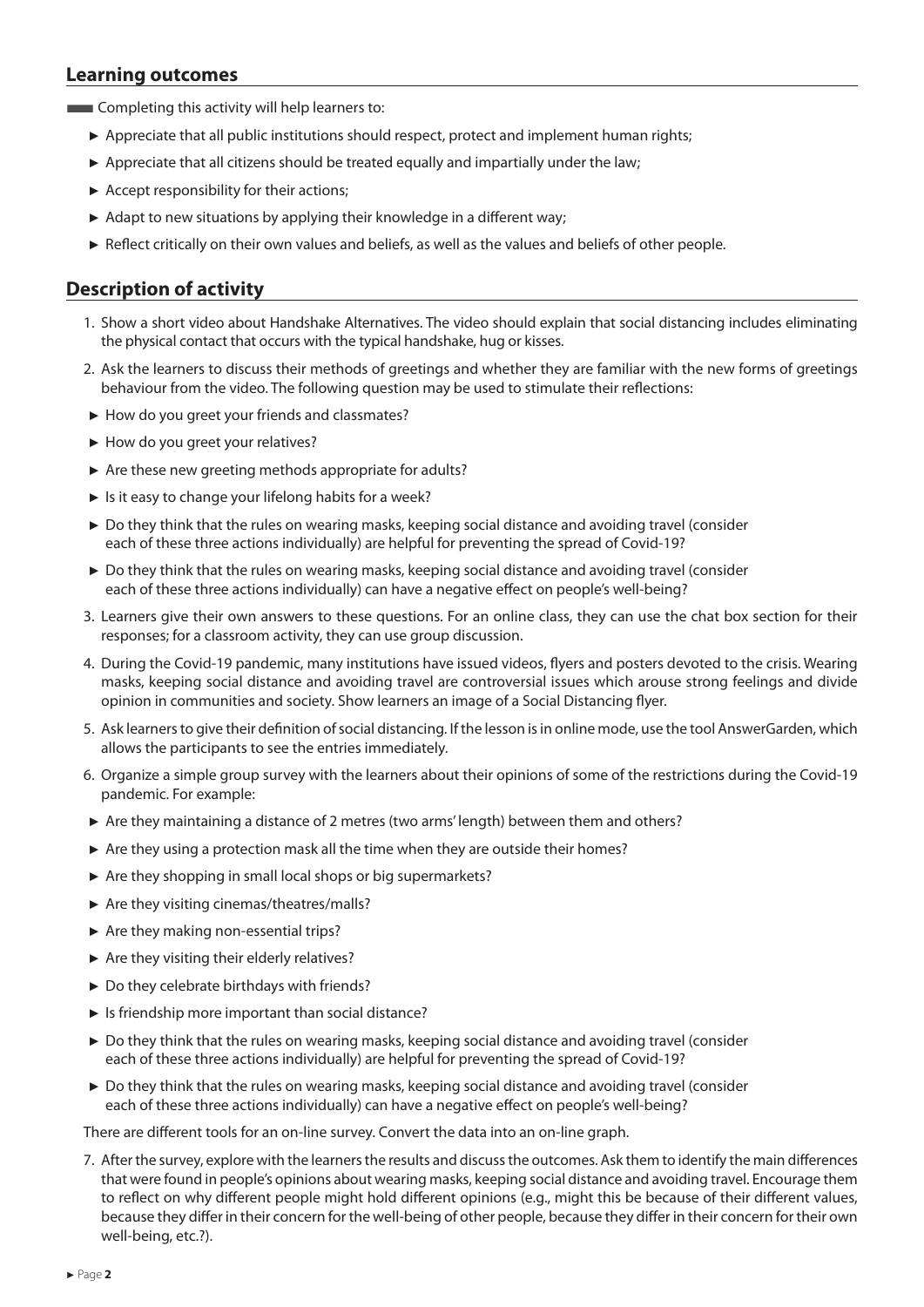#### **Learning outcomes**

**EXECOMPLER** Completing this activity will help learners to:

- ► Appreciate that all public institutions should respect, protect and implement human rights;
- $\triangleright$  Appreciate that all citizens should be treated equally and impartially under the law;
- ► Accept responsibility for their actions;
- $\blacktriangleright$  Adapt to new situations by applying their knowledge in a different way:
- ► Reflect critically on their own values and beliefs, as well as the values and beliefs of other people.

#### **Description of activity**

- 1. Show a short video about Handshake Alternatives. The video should explain that social distancing includes eliminating the physical contact that occurs with the typical handshake, hug or kisses.
- 2. Ask the learners to discuss their methods of greetings and whether they are familiar with the new forms of greetings behaviour from the video. The following question may be used to stimulate their reflections:
- ► How do you greet your friends and classmates?
- ► How do you greet your relatives?
- ► Are these new greeting methods appropriate for adults?
- ► Is it easy to change your lifelong habits for a week?
- ► Do they think that the rules on wearing masks, keeping social distance and avoiding travel (consider each of these three actions individually) are helpful for preventing the spread of Covid-19?
- ► Do they think that the rules on wearing masks, keeping social distance and avoiding travel (consider each of these three actions individually) can have a negative effect on people's well-being?
- 3. Learners give their own answers to these questions. For an online class, they can use the chat box section for their responses; for a classroom activity, they can use group discussion.
- 4. During the Covid-19 pandemic, many institutions have issued videos, flyers and posters devoted to the crisis. Wearing masks, keeping social distance and avoiding travel are controversial issues which arouse strong feelings and divide opinion in communities and society. Show learners an image of a Social Distancing flyer.
- 5. Ask learners to give their definition of social distancing. If the lesson is in online mode, use the tool AnswerGarden, which allows the participants to see the entries immediately.
- 6. Organize a simple group survey with the learners about their opinions of some of the restrictions during the Covid-19 pandemic. For example:
- ► Are they maintaining a distance of 2 metres (two arms' length) between them and others?
- ► Are they using a protection mask all the time when they are outside their homes?
- ► Are they shopping in small local shops or big supermarkets?
- ► Are they visiting cinemas/theatres/malls?
- ► Are they making non-essential trips?
- ► Are they visiting their elderly relatives?
- ► Do they celebrate birthdays with friends?
- ► Is friendship more important than social distance?
- ► Do they think that the rules on wearing masks, keeping social distance and avoiding travel (consider each of these three actions individually) are helpful for preventing the spread of Covid-19?
- ► Do they think that the rules on wearing masks, keeping social distance and avoiding travel (consider each of these three actions individually) can have a negative effect on people's well-being?

There are different tools for an on-line survey. Convert the data into an on-line graph.

7. After the survey, explore with the learners the results and discuss the outcomes. Ask them to identify the main differences that were found in people's opinions about wearing masks, keeping social distance and avoiding travel. Encourage them to reflect on why different people might hold different opinions (e.g., might this be because of their different values, because they differ in their concern for the well-being of other people, because they differ in their concern for their own well-being, etc.?).